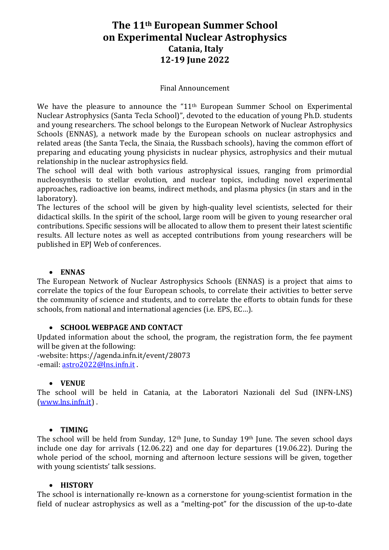# The 11<sup>th</sup> European Summer School **on Experimental Nuclear Astrophysics Catania, Italy 12-19 June 2022**

#### Final Announcement

We have the pleasure to announce the " $11<sup>th</sup>$  European Summer School on Experimental Nuclear Astrophysics (Santa Tecla School)", devoted to the education of young Ph.D. students and young researchers. The school belongs to the European Network of Nuclear Astrophysics Schools (ENNAS), a network made by the European schools on nuclear astrophysics and related areas (the Santa Tecla, the Sinaia, the Russbach schools), having the common effort of preparing and educating young physicists in nuclear physics, astrophysics and their mutual relationship in the nuclear astrophysics field.

The school will deal with both various astrophysical issues, ranging from primordial nucleosynthesis to stellar evolution, and nuclear topics, including novel experimental approaches, radioactive ion beams, indirect methods, and plasma physics (in stars and in the laboratory).

The lectures of the school will be given by high-quality level scientists, selected for their didactical skills. In the spirit of the school, large room will be given to young researcher oral contributions. Specific sessions will be allocated to allow them to present their latest scientific results. All lecture notes as well as accepted contributions from young researchers will be published in EPJ Web of conferences.

#### • **ENNAS**

The European Network of Nuclear Astrophysics Schools (ENNAS) is a project that aims to correlate the topics of the four European schools, to correlate their activities to better serve the community of science and students, and to correlate the efforts to obtain funds for these schools, from national and international agencies (i.e. EPS, EC...).

#### • **SCHOOL WEBPAGE AND CONTACT**

Updated information about the school, the program, the registration form, the fee payment will be given at the following:

-website: https://agenda.infn.it/event/28073 -email: astro2022@lns.infn.it

### • **VENUE**

The school will be held in Catania, at the Laboratori Nazionali del Sud (INFN-LNS) (www.lns.infn.it) .

#### • **TIMING**

The school will be held from Sunday,  $12<sup>th</sup>$  June, to Sunday  $19<sup>th</sup>$  June. The seven school days include one day for arrivals  $(12.06.22)$  and one day for departures  $(19.06.22)$ . During the whole period of the school, morning and afternoon lecture sessions will be given, together with young scientists' talk sessions.

#### • **HISTORY**

The school is internationally re-known as a cornerstone for young-scientist formation in the field of nuclear astrophysics as well as a "melting-pot" for the discussion of the up-to-date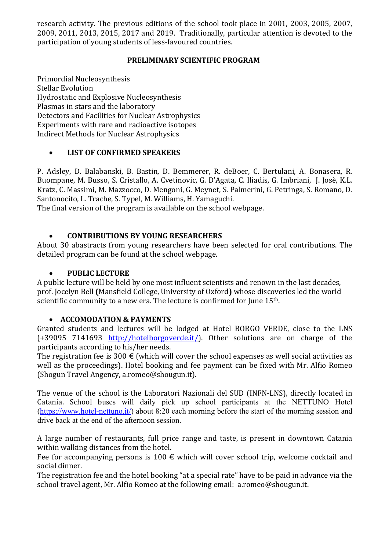research activity. The previous editions of the school took place in 2001, 2003, 2005, 2007, 2009, 2011, 2013, 2015, 2017 and 2019. Traditionally, particular attention is devoted to the participation of voung students of less-favoured countries.

### **PRELIMINARY SCIENTIFIC PROGRAM**

Primordial Nucleosynthesis **Stellar Evolution** Hydrostatic and Explosive Nucleosynthesis Plasmas in stars and the laboratory Detectors and Facilities for Nuclear Astrophysics Experiments with rare and radioactive isotopes Indirect Methods for Nuclear Astrophysics

### • **LIST OF CONFIRMED SPEAKERS**

P. Adsley, D. Balabanski, B. Bastin, D. Bemmerer, R. deBoer, C. Bertulani, A. Bonasera, R. Buompane, M. Busso, S. Cristallo, A. Cvetinovic, G. D'Agata, C. Iliadis, G. Imbriani, J. Josè, K.L. Kratz, C. Massimi, M. Mazzocco, D. Mengoni, G. Meynet, S. Palmerini, G. Petringa, S. Romano, D. Santonocito, L. Trache, S. Typel, M. Williams, H. Yamaguchi.

The final version of the program is available on the school webpage.

### • **CONTRIBUTIONS BY YOUNG RESEARCHERS**

About 30 abastracts from young researchers have been selected for oral contributions. The detailed program can be found at the school webpage.

### • **PUBLIC LECTURE**

A public lecture will be held by one most influent scientists and renown in the last decades, prof. Jocelyn Bell **(Mansfield College, University of Oxford)** whose discoveries led the world scientific community to a new era. The lecture is confirmed for June 15<sup>th</sup>.

### • **ACCOMODATION & PAYMENTS**

Granted students and lectures will be lodged at Hotel BORGO VERDE, close to the LNS (+39095 7141693 http://hotelborgoverde.it/). Other solutions are on charge of the participants according to his/her needs.

The registration fee is 300  $\epsilon$  (which will cover the school expenses as well social activities as well as the proceedings). Hotel booking and fee payment can be fixed with Mr. Alfio Romeo (Shogun Travel Angency, a.romeo@shougun.it).

The venue of the school is the Laboratori Nazionali del SUD (INFN-LNS), directly located in Catania. School buses will daily pick up school participants at the NETTUNO Hotel (https://www.hotel-nettuno.it/) about 8:20 each morning before the start of the morning session and drive back at the end of the afternoon session.

A large number of restaurants, full price range and taste, is present in downtown Catania within walking distances from the hotel.

Fee for accompanying persons is 100  $\epsilon$  which will cover school trip, welcome cocktail and social dinner.

The registration fee and the hotel booking "at a special rate" have to be paid in advance via the school travel agent, Mr. Alfio Romeo at the following email: a.romeo@shougun.it.